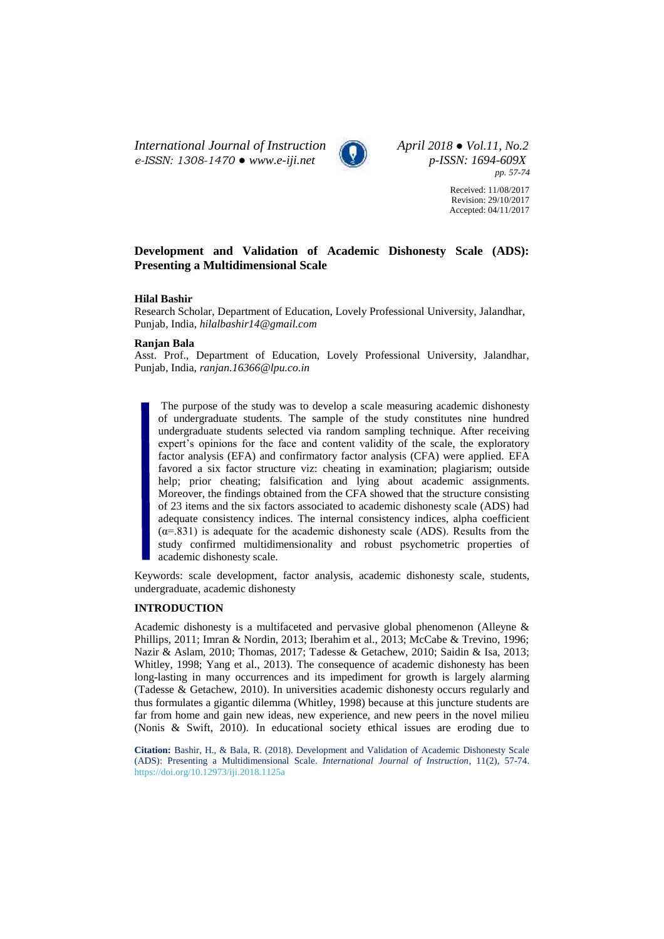*International Journal of Instruction April 2018 ● Vol.11, No.2 e-ISSN: 1308-1470 ● [www.e-iji.net](http://www.e-iji.net/) p-ISSN: 1694-609X*



*pp. 57-74*

Received: 11/08/2017 Revision: 29/10/2017 Accepted: 04/11/2017

# **Development and Validation of Academic Dishonesty Scale (ADS): Presenting a Multidimensional Scale**

### **Hilal Bashir**

Research Scholar, Department of Education, Lovely Professional University, Jalandhar, Punjab, India, *[hilalbashir14@gmail.com](mailto:hilalbashir14@gmail.com)*

### **Ranjan Bala**

Asst. Prof., Department of Education, Lovely Professional University, Jalandhar, Punjab, India, *ranjan.16366@lpu.co.in*

The purpose of the study was to develop a scale measuring academic dishonesty of undergraduate students. The sample of the study constitutes nine hundred undergraduate students selected via random sampling technique. After receiving expert's opinions for the face and content validity of the scale, the exploratory factor analysis (EFA) and confirmatory factor analysis (CFA) were applied. EFA favored a six factor structure viz: cheating in examination; plagiarism; outside help; prior cheating; falsification and lying about academic assignments. Moreover, the findings obtained from the CFA showed that the structure consisting of 23 items and the six factors associated to academic dishonesty scale (ADS) had adequate consistency indices. The internal consistency indices, alpha coefficient  $(\alpha = .831)$  is adequate for the academic dishonesty scale (ADS). Results from the study confirmed multidimensionality and robust psychometric properties of academic dishonesty scale.

Keywords: scale development, factor analysis, academic dishonesty scale, students, undergraduate, academic dishonesty

### **INTRODUCTION**

Academic dishonesty is a multifaceted and pervasive global phenomenon (Alleyne & Phillips, 2011; Imran & Nordin, 2013; Iberahim et al., 2013; McCabe & Trevino, 1996; Nazir & Aslam, 2010; Thomas, 2017; Tadesse & Getachew, 2010; Saidin & Isa, 2013; Whitley, 1998; Yang et al., 2013). The consequence of academic dishonesty has been long-lasting in many occurrences and its impediment for growth is largely alarming (Tadesse & Getachew, 2010). In universities academic dishonesty occurs regularly and thus formulates a gigantic dilemma (Whitley, 1998) because at this juncture students are far from home and gain new ideas, new experience, and new peers in the novel milieu (Nonis & Swift, 2010). In educational society ethical issues are eroding due to

**Citation:** Bashir, H., & Bala, R. (2018). Development and Validation of Academic Dishonesty Scale (ADS): Presenting a Multidimensional Scale. *International Journal of Instruction*, 11(2), 57-74. <https://doi.org/10.12973/iji.2018.1125a>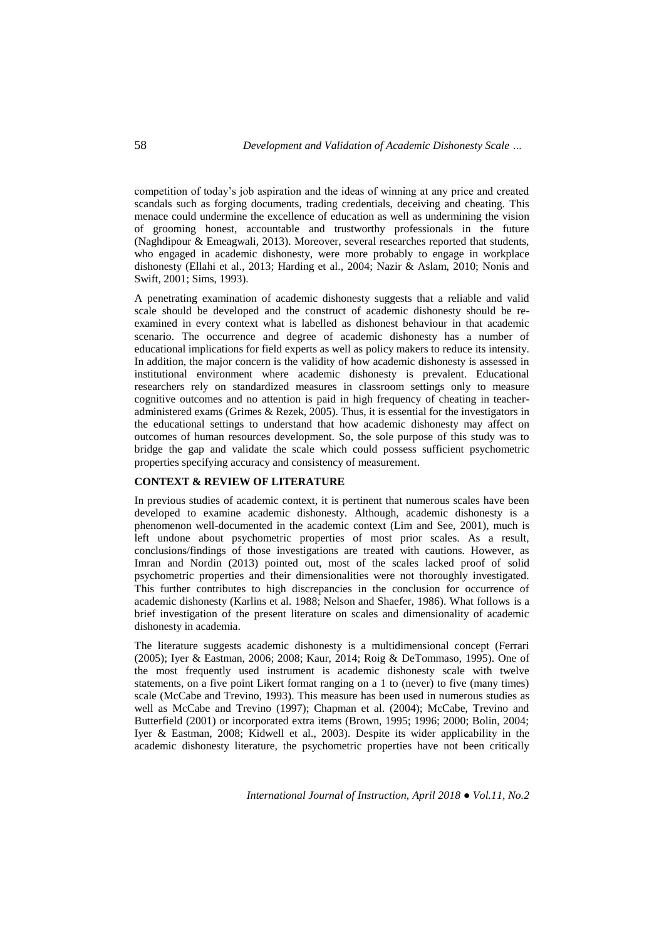competition of today's job aspiration and the ideas of winning at any price and created scandals such as forging documents, trading credentials, deceiving and cheating. This menace could undermine the excellence of education as well as undermining the vision of grooming honest, accountable and trustworthy professionals in the future (Naghdipour & Emeagwali, 2013). Moreover, several researches reported that students, who engaged in academic dishonesty, were more probably to engage in workplace dishonesty (Ellahi et al., 2013; Harding et al., 2004; Nazir & Aslam, 2010; Nonis and Swift, 2001; Sims, 1993).

A penetrating examination of academic dishonesty suggests that a reliable and valid scale should be developed and the construct of academic dishonesty should be reexamined in every context what is labelled as dishonest behaviour in that academic scenario. The occurrence and degree of academic dishonesty has a number of educational implications for field experts as well as policy makers to reduce its intensity. In addition, the major concern is the validity of how academic dishonesty is assessed in institutional environment where academic dishonesty is prevalent. Educational researchers rely on standardized measures in classroom settings only to measure cognitive outcomes and no attention is paid in high frequency of cheating in teacheradministered exams (Grimes & Rezek, 2005). Thus, it is essential for the investigators in the educational settings to understand that how academic dishonesty may affect on outcomes of human resources development. So, the sole purpose of this study was to bridge the gap and validate the scale which could possess sufficient psychometric properties specifying accuracy and consistency of measurement.

## **CONTEXT & REVIEW OF LITERATURE**

In previous studies of academic context, it is pertinent that numerous scales have been developed to examine academic dishonesty. Although, academic dishonesty is a phenomenon well-documented in the academic context (Lim and See, 2001), much is left undone about psychometric properties of most prior scales. As a result, conclusions/findings of those investigations are treated with cautions. However, as Imran and Nordin (2013) pointed out, most of the scales lacked proof of solid psychometric properties and their dimensionalities were not thoroughly investigated. This further contributes to high discrepancies in the conclusion for occurrence of academic dishonesty (Karlins et al. 1988; Nelson and Shaefer, 1986). What follows is a brief investigation of the present literature on scales and dimensionality of academic dishonesty in academia.

The literature suggests academic dishonesty is a multidimensional concept (Ferrari (2005); Iyer & Eastman, 2006; 2008; Kaur, 2014; Roig & DeTommaso, 1995). One of the most frequently used instrument is academic dishonesty scale with twelve statements, on a five point Likert format ranging on a 1 to (never) to five (many times) scale (McCabe and Trevino, 1993). This measure has been used in numerous studies as well as McCabe and Trevino (1997); Chapman et al. (2004); McCabe, Trevino and Butterfield (2001) or incorporated extra items (Brown, 1995; 1996; 2000; Bolin, 2004; Iyer & Eastman, 2008; Kidwell et al., 2003). Despite its wider applicability in the academic dishonesty literature, the psychometric properties have not been critically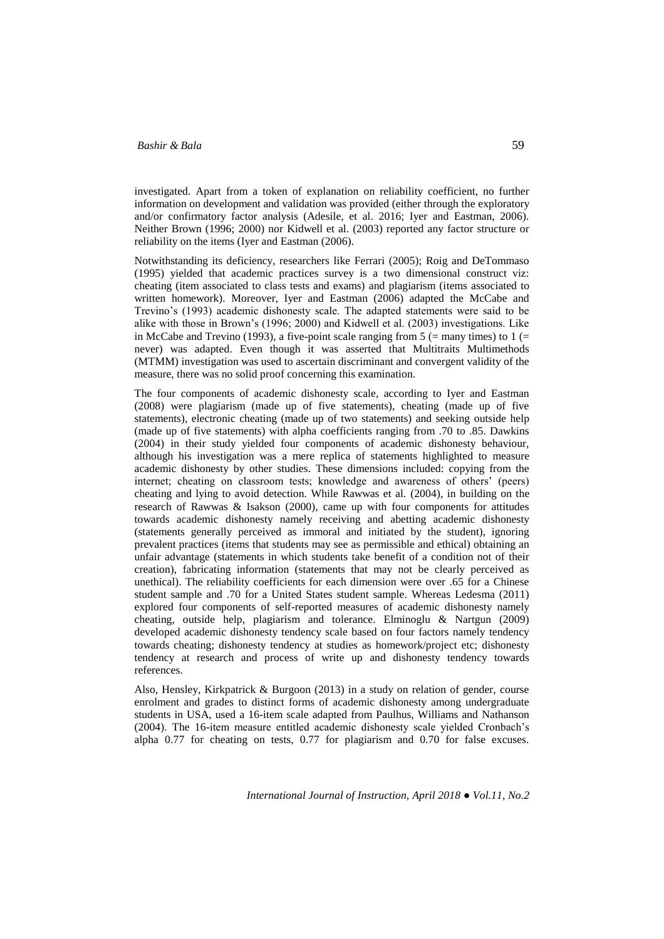investigated. Apart from a token of explanation on reliability coefficient, no further information on development and validation was provided (either through the exploratory and/or confirmatory factor analysis (Adesile, et al. 2016; Iyer and Eastman, 2006). Neither Brown (1996; 2000) nor Kidwell et al. (2003) reported any factor structure or reliability on the items (Iyer and Eastman (2006).

Notwithstanding its deficiency, researchers like Ferrari (2005); Roig and DeTommaso (1995) yielded that academic practices survey is a two dimensional construct viz: cheating (item associated to class tests and exams) and plagiarism (items associated to written homework). Moreover, Iyer and Eastman (2006) adapted the McCabe and Trevino's (1993) academic dishonesty scale. The adapted statements were said to be alike with those in Brown's (1996; 2000) and Kidwell et al. (2003) investigations. Like in McCabe and Trevino (1993), a five-point scale ranging from  $5$  (= many times) to 1 (= never) was adapted. Even though it was asserted that Multitraits Multimethods (MTMM) investigation was used to ascertain discriminant and convergent validity of the measure, there was no solid proof concerning this examination.

The four components of academic dishonesty scale, according to Iyer and Eastman (2008) were plagiarism (made up of five statements), cheating (made up of five statements), electronic cheating (made up of two statements) and seeking outside help (made up of five statements) with alpha coefficients ranging from .70 to .85. Dawkins (2004) in their study yielded four components of academic dishonesty behaviour, although his investigation was a mere replica of statements highlighted to measure academic dishonesty by other studies. These dimensions included: copying from the internet; cheating on classroom tests; knowledge and awareness of others' (peers) cheating and lying to avoid detection. While Rawwas et al. (2004), in building on the research of Rawwas & Isakson (2000), came up with four components for attitudes towards academic dishonesty namely receiving and abetting academic dishonesty (statements generally perceived as immoral and initiated by the student), ignoring prevalent practices (items that students may see as permissible and ethical) obtaining an unfair advantage (statements in which students take benefit of a condition not of their creation), fabricating information (statements that may not be clearly perceived as unethical). The reliability coefficients for each dimension were over .65 for a Chinese student sample and .70 for a United States student sample. Whereas Ledesma (2011) explored four components of self-reported measures of academic dishonesty namely cheating, outside help, plagiarism and tolerance. Elminoglu & Nartgun (2009) developed academic dishonesty tendency scale based on four factors namely tendency towards cheating; dishonesty tendency at studies as homework/project etc; dishonesty tendency at research and process of write up and dishonesty tendency towards references.

Also, Hensley, Kirkpatrick & Burgoon (2013) in a study on relation of gender, course enrolment and grades to distinct forms of academic dishonesty among undergraduate students in USA, used a 16-item scale adapted from Paulhus, Williams and Nathanson (2004). The 16-item measure entitled academic dishonesty scale yielded Cronbach's alpha 0.77 for cheating on tests, 0.77 for plagiarism and 0.70 for false excuses.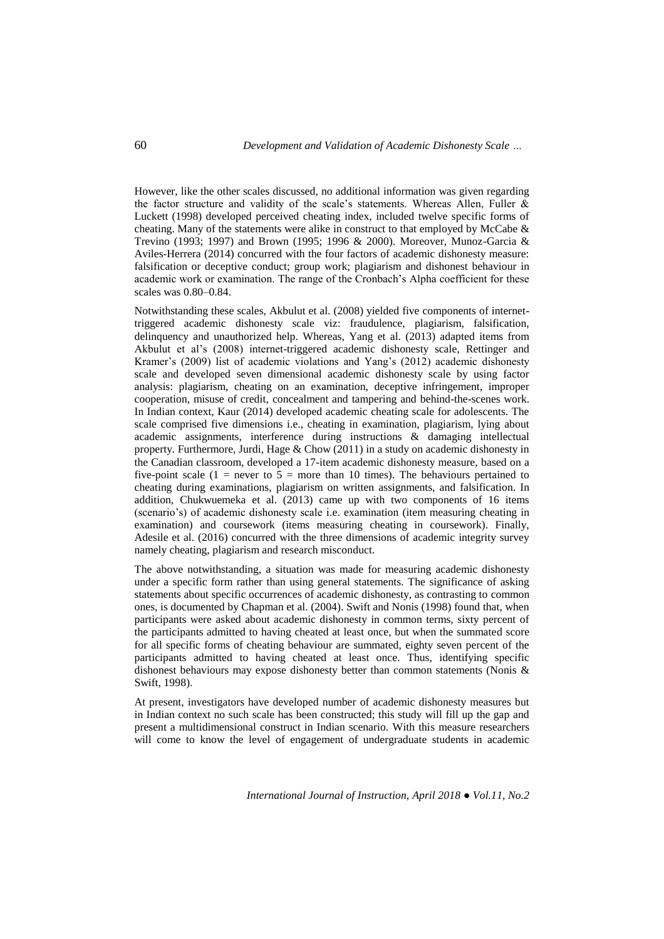However, like the other scales discussed, no additional information was given regarding the factor structure and validity of the scale's statements. Whereas Allen, Fuller & Luckett (1998) developed perceived cheating index, included twelve specific forms of cheating. Many of the statements were alike in construct to that employed by McCabe  $\&$ Trevino (1993; 1997) and Brown (1995; 1996 & 2000). Moreover, Munoz-Garcia & Aviles-Herrera (2014) concurred with the four factors of academic dishonesty measure: falsification or deceptive conduct; group work; plagiarism and dishonest behaviour in academic work or examination. The range of the Cronbach's Alpha coefficient for these scales was 0.80–0.84.

Notwithstanding these scales, Akbulut et al. (2008) yielded five components of internettriggered academic dishonesty scale viz: fraudulence, plagiarism, falsification, delinquency and unauthorized help. Whereas, Yang et al. (2013) adapted items from Akbulut et al's (2008) internet-triggered academic dishonesty scale, Rettinger and Kramer's (2009) list of academic violations and Yang's (2012) academic dishonesty scale and developed seven dimensional academic dishonesty scale by using factor analysis: plagiarism, cheating on an examination, deceptive infringement, improper cooperation, misuse of credit, concealment and tampering and behind-the-scenes work. In Indian context, Kaur (2014) developed academic cheating scale for adolescents. The scale comprised five dimensions i.e., cheating in examination, plagiarism, lying about academic assignments, interference during instructions & damaging intellectual property. Furthermore, Jurdi, Hage & Chow (2011) in a study on academic dishonesty in the Canadian classroom, developed a 17-item academic dishonesty measure, based on a five-point scale (1 = never to  $5$  = more than 10 times). The behaviours pertained to cheating during examinations, plagiarism on written assignments, and falsification. In addition, Chukwuemeka et al. (2013) came up with two components of 16 items (scenario's) of academic dishonesty scale i.e. examination (item measuring cheating in examination) and coursework (items measuring cheating in coursework). Finally, Adesile et al. (2016) concurred with the three dimensions of academic integrity survey namely cheating, plagiarism and research misconduct.

The above notwithstanding, a situation was made for measuring academic dishonesty under a specific form rather than using general statements. The significance of asking statements about specific occurrences of academic dishonesty, as contrasting to common ones, is documented by Chapman et al. (2004). Swift and Nonis (1998) found that, when participants were asked about academic dishonesty in common terms, sixty percent of the participants admitted to having cheated at least once, but when the summated score for all specific forms of cheating behaviour are summated, eighty seven percent of the participants admitted to having cheated at least once. Thus, identifying specific dishonest behaviours may expose dishonesty better than common statements (Nonis & Swift, 1998).

At present, investigators have developed number of academic dishonesty measures but in Indian context no such scale has been constructed; this study will fill up the gap and present a multidimensional construct in Indian scenario. With this measure researchers will come to know the level of engagement of undergraduate students in academic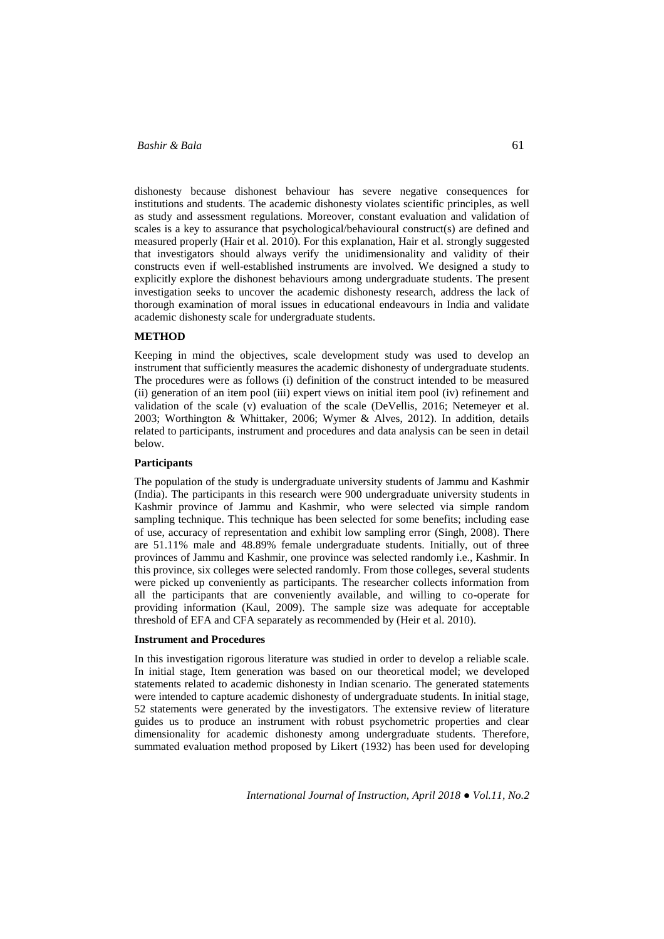dishonesty because dishonest behaviour has severe negative consequences for institutions and students. The academic dishonesty violates scientific principles, as well as study and assessment regulations. Moreover, constant evaluation and validation of scales is a key to assurance that psychological/behavioural construct(s) are defined and measured properly (Hair et al. 2010). For this explanation, Hair et al. strongly suggested that investigators should always verify the unidimensionality and validity of their constructs even if well-established instruments are involved. We designed a study to explicitly explore the dishonest behaviours among undergraduate students. The present investigation seeks to uncover the academic dishonesty research, address the lack of thorough examination of moral issues in educational endeavours in India and validate academic dishonesty scale for undergraduate students.

## **METHOD**

Keeping in mind the objectives, scale development study was used to develop an instrument that sufficiently measures the academic dishonesty of undergraduate students. The procedures were as follows (i) definition of the construct intended to be measured (ii) generation of an item pool (iii) expert views on initial item pool (iv) refinement and validation of the scale (v) evaluation of the scale (DeVellis, 2016; Netemeyer et al. 2003; Worthington & Whittaker, 2006; Wymer & Alves, 2012). In addition, details related to participants, instrument and procedures and data analysis can be seen in detail below.

### **Participants**

The population of the study is undergraduate university students of Jammu and Kashmir (India). The participants in this research were 900 undergraduate university students in Kashmir province of Jammu and Kashmir, who were selected via simple random sampling technique. This technique has been selected for some benefits; including ease of use, accuracy of representation and exhibit low sampling error (Singh, 2008). There are 51.11% male and 48.89% female undergraduate students. Initially, out of three provinces of Jammu and Kashmir, one province was selected randomly i.e., Kashmir. In this province, six colleges were selected randomly. From those colleges, several students were picked up conveniently as participants. The researcher collects information from all the participants that are conveniently available, and willing to co-operate for providing information (Kaul, 2009). The sample size was adequate for acceptable threshold of EFA and CFA separately as recommended by (Heir et al. 2010).

### **Instrument and Procedures**

In this investigation rigorous literature was studied in order to develop a reliable scale. In initial stage, Item generation was based on our theoretical model; we developed statements related to academic dishonesty in Indian scenario. The generated statements were intended to capture academic dishonesty of undergraduate students. In initial stage, 52 statements were generated by the investigators. The extensive review of literature guides us to produce an instrument with robust psychometric properties and clear dimensionality for academic dishonesty among undergraduate students. Therefore, summated evaluation method proposed by Likert (1932) has been used for developing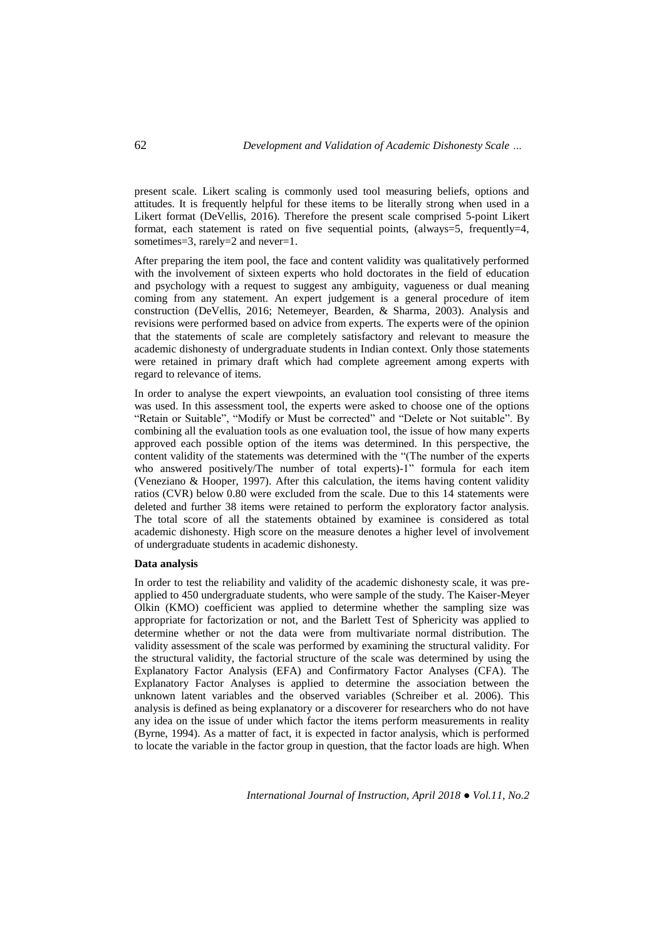present scale. Likert scaling is commonly used tool measuring beliefs, options and attitudes. It is frequently helpful for these items to be literally strong when used in a Likert format (DeVellis, 2016). Therefore the present scale comprised 5-point Likert format, each statement is rated on five sequential points, (always=5, frequently=4, sometimes=3, rarely=2 and never=1.

After preparing the item pool, the face and content validity was qualitatively performed with the involvement of sixteen experts who hold doctorates in the field of education and psychology with a request to suggest any ambiguity, vagueness or dual meaning coming from any statement. An expert judgement is a general procedure of item construction (DeVellis, 2016; Netemeyer, Bearden, & Sharma, 2003). Analysis and revisions were performed based on advice from experts. The experts were of the opinion that the statements of scale are completely satisfactory and relevant to measure the academic dishonesty of undergraduate students in Indian context. Only those statements were retained in primary draft which had complete agreement among experts with regard to relevance of items.

In order to analyse the expert viewpoints, an evaluation tool consisting of three items was used. In this assessment tool, the experts were asked to choose one of the options "Retain or Suitable", "Modify or Must be corrected" and "Delete or Not suitable". By combining all the evaluation tools as one evaluation tool, the issue of how many experts approved each possible option of the items was determined. In this perspective, the content validity of the statements was determined with the "(The number of the experts who answered positively/The number of total experts)-1" formula for each item (Veneziano & Hooper, 1997). After this calculation, the items having content validity ratios (CVR) below 0.80 were excluded from the scale. Due to this 14 statements were deleted and further 38 items were retained to perform the exploratory factor analysis. The total score of all the statements obtained by examinee is considered as total academic dishonesty. High score on the measure denotes a higher level of involvement of undergraduate students in academic dishonesty.

#### **Data analysis**

In order to test the reliability and validity of the academic dishonesty scale, it was preapplied to 450 undergraduate students, who were sample of the study. The Kaiser-Meyer Olkin (KMO) coefficient was applied to determine whether the sampling size was appropriate for factorization or not, and the Barlett Test of Sphericity was applied to determine whether or not the data were from multivariate normal distribution. The validity assessment of the scale was performed by examining the structural validity. For the structural validity, the factorial structure of the scale was determined by using the Explanatory Factor Analysis (EFA) and Confirmatory Factor Analyses (CFA). The Explanatory Factor Analyses is applied to determine the association between the unknown latent variables and the observed variables (Schreiber et al. 2006). This analysis is defined as being explanatory or a discoverer for researchers who do not have any idea on the issue of under which factor the items perform measurements in reality (Byrne, 1994). As a matter of fact, it is expected in factor analysis, which is performed to locate the variable in the factor group in question, that the factor loads are high. When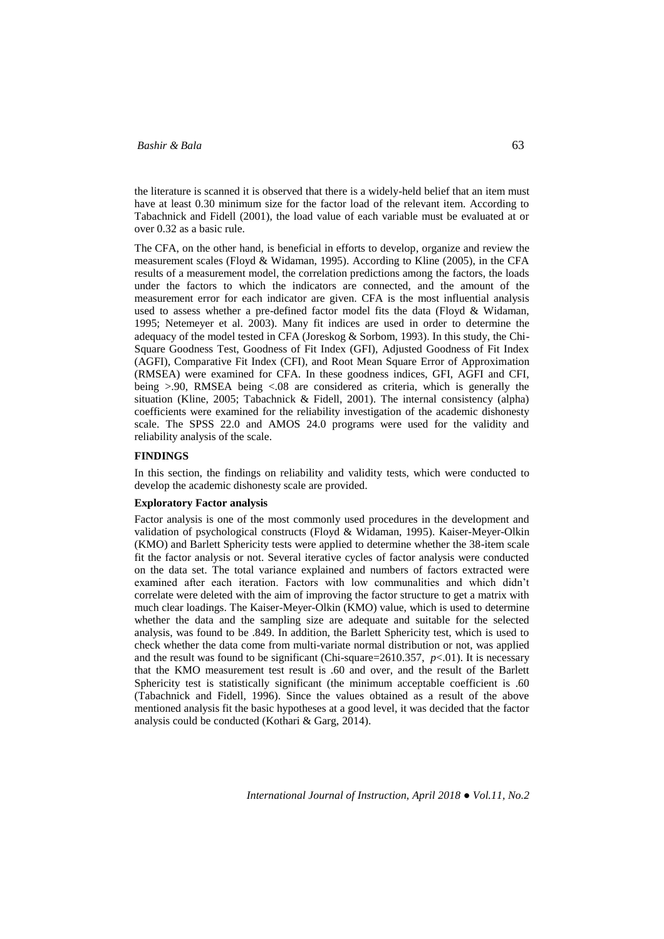the literature is scanned it is observed that there is a widely-held belief that an item must have at least 0.30 minimum size for the factor load of the relevant item. According to Tabachnick and Fidell (2001), the load value of each variable must be evaluated at or over 0.32 as a basic rule.

The CFA, on the other hand, is beneficial in efforts to develop, organize and review the measurement scales (Floyd & Widaman, 1995). According to Kline (2005), in the CFA results of a measurement model, the correlation predictions among the factors, the loads under the factors to which the indicators are connected, and the amount of the measurement error for each indicator are given. CFA is the most influential analysis used to assess whether a pre-defined factor model fits the data (Floyd & Widaman, 1995; Netemeyer et al. 2003). Many fit indices are used in order to determine the adequacy of the model tested in CFA (Joreskog & Sorbom, 1993). In this study, the Chi-Square Goodness Test, Goodness of Fit Index (GFI), Adjusted Goodness of Fit Index (AGFI), Comparative Fit Index (CFI), and Root Mean Square Error of Approximation (RMSEA) were examined for CFA. In these goodness indices, GFI, AGFI and CFI, being >.90, RMSEA being <.08 are considered as criteria, which is generally the situation (Kline, 2005; Tabachnick & Fidell, 2001). The internal consistency (alpha) coefficients were examined for the reliability investigation of the academic dishonesty scale. The SPSS 22.0 and AMOS 24.0 programs were used for the validity and reliability analysis of the scale.

### **FINDINGS**

In this section, the findings on reliability and validity tests, which were conducted to develop the academic dishonesty scale are provided.

#### **Exploratory Factor analysis**

Factor analysis is one of the most commonly used procedures in the development and validation of psychological constructs (Floyd & Widaman, 1995). Kaiser-Meyer-Olkin (KMO) and Barlett Sphericity tests were applied to determine whether the 38-item scale fit the factor analysis or not. Several iterative cycles of factor analysis were conducted on the data set. The total variance explained and numbers of factors extracted were examined after each iteration. Factors with low communalities and which didn't correlate were deleted with the aim of improving the factor structure to get a matrix with much clear loadings. The Kaiser-Meyer-Olkin (KMO) value, which is used to determine whether the data and the sampling size are adequate and suitable for the selected analysis, was found to be .849. In addition, the Barlett Sphericity test, which is used to check whether the data come from multi-variate normal distribution or not, was applied and the result was found to be significant (Chi-square=2610.357, *p*<.01). It is necessary that the KMO measurement test result is .60 and over, and the result of the Barlett Sphericity test is statistically significant (the minimum acceptable coefficient is .60 (Tabachnick and Fidell, 1996). Since the values obtained as a result of the above mentioned analysis fit the basic hypotheses at a good level, it was decided that the factor analysis could be conducted (Kothari & Garg, 2014).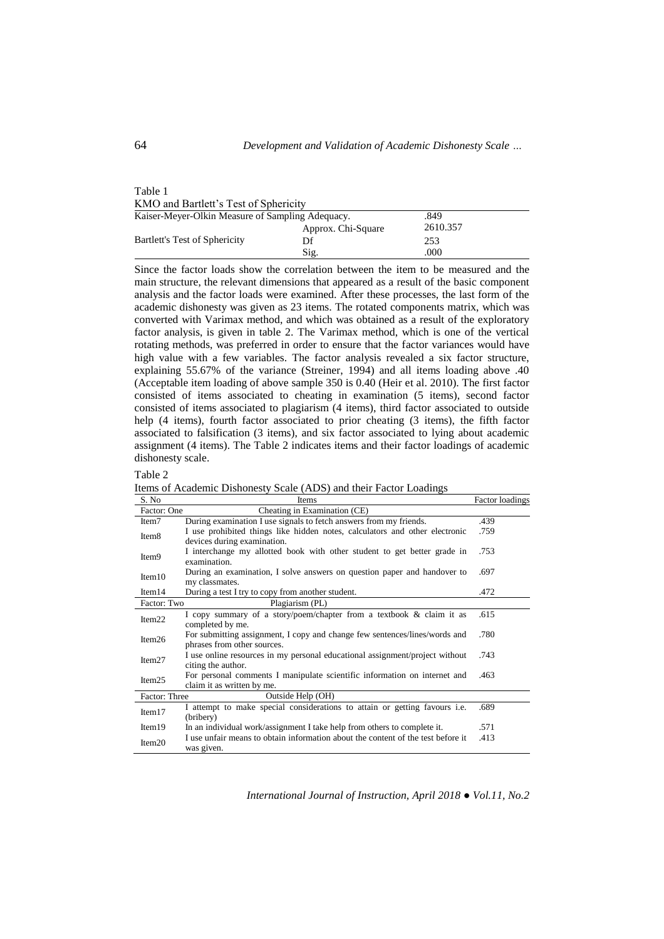| Table 1                                |  |
|----------------------------------------|--|
| KMO and Bartlett's Test of Sphericity  |  |
| Kaiser-Meyer-Olkin Measure of Sampling |  |

| Kaiser-Mever-Olkin Measure of Sampling Adequacy. |                    | .849     |
|--------------------------------------------------|--------------------|----------|
|                                                  | Approx. Chi-Square | 2610.357 |
| Bartlett's Test of Sphericity                    | Df                 | 253      |
|                                                  | Sig.               | .000     |

Since the factor loads show the correlation between the item to be measured and the main structure, the relevant dimensions that appeared as a result of the basic component analysis and the factor loads were examined. After these processes, the last form of the academic dishonesty was given as 23 items. The rotated components matrix, which was converted with Varimax method, and which was obtained as a result of the exploratory factor analysis, is given in table 2. The Varimax method, which is one of the vertical rotating methods, was preferred in order to ensure that the factor variances would have high value with a few variables. The factor analysis revealed a six factor structure, explaining 55.67% of the variance (Streiner, 1994) and all items loading above .40 (Acceptable item loading of above sample 350 is 0.40 (Heir et al. 2010). The first factor consisted of items associated to cheating in examination (5 items), second factor consisted of items associated to plagiarism (4 items), third factor associated to outside help (4 items), fourth factor associated to prior cheating (3 items), the fifth factor associated to falsification (3 items), and six factor associated to lying about academic assignment (4 items). The Table 2 indicates items and their factor loadings of academic dishonesty scale.

| Table 2                                                                                                                                                                                                                                                                                          |  |  |  |  |
|--------------------------------------------------------------------------------------------------------------------------------------------------------------------------------------------------------------------------------------------------------------------------------------------------|--|--|--|--|
| $\mathbf{L}$ and $\mathbf{L}$ and $\mathbf{L}$ and $\mathbf{L}$ and $\mathbf{L}$ and $\mathbf{L}$ and $\mathbf{L}$ and $\mathbf{L}$ and $\mathbf{L}$ and $\mathbf{L}$ and $\mathbf{L}$ and $\mathbf{L}$ and $\mathbf{L}$ and $\mathbf{L}$ and $\mathbf{L}$ and $\mathbf{L}$ and $\mathbf{L}$ and |  |  |  |  |

Items of Academic Dishonesty Scale (ADS) and their Factor Loadings

| S. No             | <b>Items</b>                                                                                               | Factor loadings |
|-------------------|------------------------------------------------------------------------------------------------------------|-----------------|
| Factor: One       | Cheating in Examination (CE)                                                                               |                 |
| Item7             | During examination I use signals to fetch answers from my friends.                                         | .439            |
| Item <sub>8</sub> | I use prohibited things like hidden notes, calculators and other electronic<br>devices during examination. | .759            |
| Item <sub>9</sub> | I interchange my allotted book with other student to get better grade in<br>examination.                   | .753            |
| Item10            | During an examination, I solve answers on question paper and handover to<br>my classmates.                 | .697            |
| Item14            | During a test I try to copy from another student.                                                          | .472            |
| Factor: Two       | Plagiarism (PL)                                                                                            |                 |
| Item22            | I copy summary of a story/poem/chapter from a textbook & claim it as<br>completed by me.                   | .615            |
| Item26            | For submitting assignment, I copy and change few sentences/lines/words and<br>phrases from other sources.  | .780            |
| Item27            | I use online resources in my personal educational assignment/project without<br>citing the author.         | .743            |
| Item25            | For personal comments I manipulate scientific information on internet and<br>claim it as written by me.    | .463            |
| Factor: Three     | Outside Help (OH)                                                                                          |                 |
| Item17            | I attempt to make special considerations to attain or getting favours i.e.<br>(bribery)                    | .689            |
| Item19            | In an individual work/assignment I take help from others to complete it.                                   | .571            |
| Item20            | I use unfair means to obtain information about the content of the test before it<br>was given.             | .413            |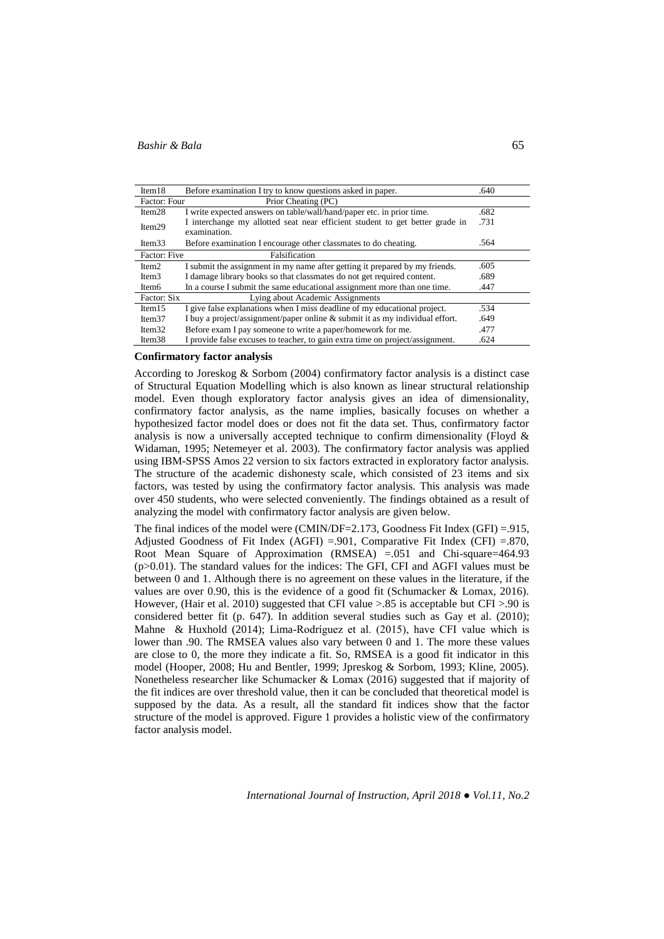| Item18            | Before examination I try to know questions asked in paper.                    | .640 |
|-------------------|-------------------------------------------------------------------------------|------|
| Factor: Four      | Prior Cheating (PC)                                                           |      |
| Item28            | I write expected answers on table/wall/hand/paper etc. in prior time.         | .682 |
| Item29            | I interchange my allotted seat near efficient student to get better grade in  | .731 |
|                   | examination.                                                                  |      |
| Item33            | Before examination I encourage other classmates to do cheating.               | .564 |
| Factor: Five      | Falsification                                                                 |      |
| Item2             | I submit the assignment in my name after getting it prepared by my friends.   | .605 |
| Item <sub>3</sub> | I damage library books so that classmates do not get required content.        | .689 |
| Item <sub>6</sub> | In a course I submit the same educational assignment more than one time.      | .447 |
| Factor: Six       | Lying about Academic Assignments                                              |      |
| Item 15           | I give false explanations when I miss deadline of my educational project.     | .534 |
| Item $37$         | I buy a project/assignment/paper online & submit it as my individual effort.  | .649 |
| Item32            | Before exam I pay someone to write a paper/homework for me.                   | .477 |
| Item38            | I provide false excuses to teacher, to gain extra time on project/assignment. | .624 |

#### **Confirmatory factor analysis**

According to Joreskog & Sorbom (2004) confirmatory factor analysis is a distinct case of Structural Equation Modelling which is also known as linear structural relationship model. Even though exploratory factor analysis gives an idea of dimensionality, confirmatory factor analysis, as the name implies, basically focuses on whether a hypothesized factor model does or does not fit the data set. Thus, confirmatory factor analysis is now a universally accepted technique to confirm dimensionality (Floyd  $\&$ Widaman, 1995; Netemeyer et al. 2003). The confirmatory factor analysis was applied using IBM-SPSS Amos 22 version to six factors extracted in exploratory factor analysis. The structure of the academic dishonesty scale, which consisted of 23 items and six factors, was tested by using the confirmatory factor analysis. This analysis was made over 450 students, who were selected conveniently. The findings obtained as a result of analyzing the model with confirmatory factor analysis are given below.

The final indices of the model were (CMIN/DF=2.173, Goodness Fit Index (GFI) =.915, Adjusted Goodness of Fit Index (AGFI) = 901, Comparative Fit Index (CFI) = 870, Root Mean Square of Approximation (RMSEA) =.051 and Chi-square=464.93 (p>0.01). The standard values for the indices: The GFI, CFI and AGFI values must be between 0 and 1. Although there is no agreement on these values in the literature, if the values are over 0.90, this is the evidence of a good fit (Schumacker & Lomax, 2016). However, (Hair et al. 2010) suggested that CFI value >.85 is acceptable but CFI >.90 is considered better fit (p. 647). In addition several studies such as Gay et al. (2010); Mahne & Huxhold (2014); Lima-Rodríguez et al. (2015), have CFI value which is lower than .90. The RMSEA values also vary between 0 and 1. The more these values are close to 0, the more they indicate a fit. So, RMSEA is a good fit indicator in this model (Hooper, 2008; Hu and Bentler, 1999; Jpreskog & Sorbom, 1993; Kline, 2005). Nonetheless researcher like Schumacker & Lomax (2016) suggested that if majority of the fit indices are over threshold value, then it can be concluded that theoretical model is supposed by the data. As a result, all the standard fit indices show that the factor structure of the model is approved. Figure 1 provides a holistic view of the confirmatory factor analysis model.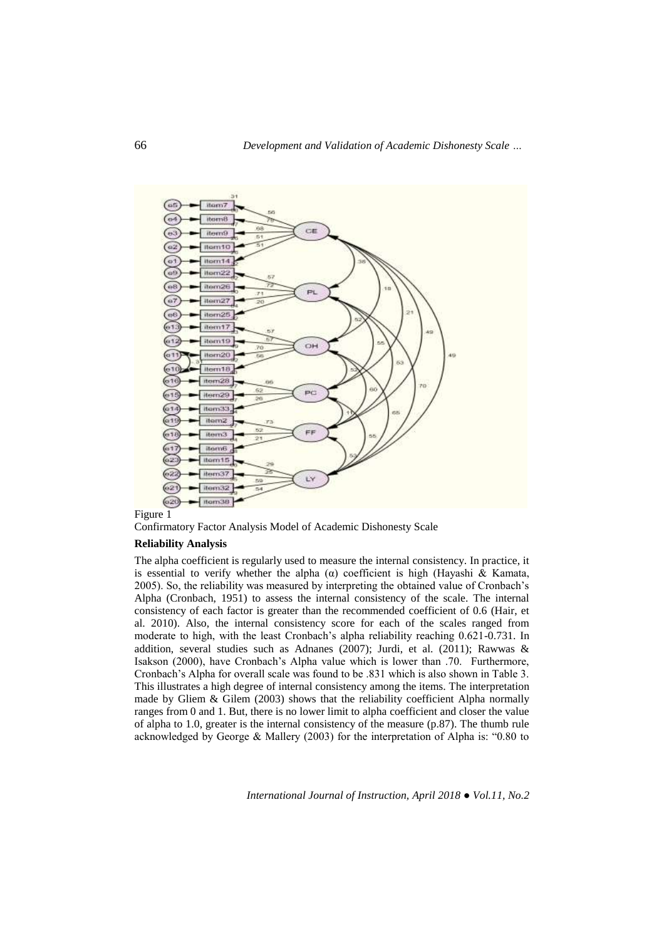

Confirmatory Factor Analysis Model of Academic Dishonesty Scale

### **Reliability Analysis**

The alpha coefficient is regularly used to measure the internal consistency. In practice, it is essential to verify whether the alpha  $(\alpha)$  coefficient is high (Hayashi & Kamata, 2005). So, the reliability was measured by interpreting the obtained value of Cronbach's Alpha (Cronbach, 1951) to assess the internal consistency of the scale. The internal consistency of each factor is greater than the recommended coefficient of 0.6 (Hair, et al. 2010). Also, the internal consistency score for each of the scales ranged from moderate to high, with the least Cronbach's alpha reliability reaching 0.621-0.731. In addition, several studies such as Adnanes (2007); Jurdi, et al. (2011); Rawwas & Isakson (2000), have Cronbach's Alpha value which is lower than .70. Furthermore, Cronbach's Alpha for overall scale was found to be .831 which is also shown in Table 3. This illustrates a high degree of internal consistency among the items. The interpretation made by Gliem  $\&$  Gilem (2003) shows that the reliability coefficient Alpha normally ranges from 0 and 1. But, there is no lower limit to alpha coefficient and closer the value of alpha to 1.0, greater is the internal consistency of the measure (p.87). The thumb rule acknowledged by George & Mallery (2003) for the interpretation of Alpha is: "0.80 to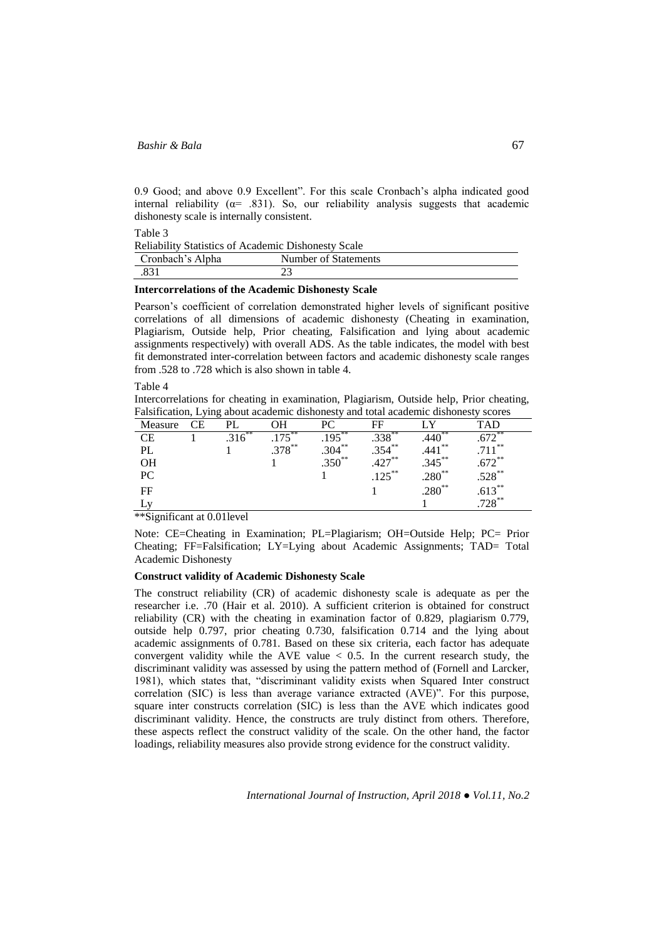0.9 Good; and above 0.9 Excellent". For this scale Cronbach's alpha indicated good internal reliability ( $\alpha$  = .831). So, our reliability analysis suggests that academic dishonesty scale is internally consistent.

Table 3

Reliability Statistics of Academic Dishonesty Scale

|                  | remaining platfolies of Fleaderine Blishonest, beare |  |
|------------------|------------------------------------------------------|--|
| Cronbach's Alpha | Number of Statements                                 |  |
|                  |                                                      |  |

### **Intercorrelations of the Academic Dishonesty Scale**

Pearson's coefficient of correlation demonstrated higher levels of significant positive correlations of all dimensions of academic dishonesty (Cheating in examination, Plagiarism, Outside help, Prior cheating, Falsification and lying about academic assignments respectively) with overall ADS. As the table indicates, the model with best fit demonstrated inter-correlation between factors and academic dishonesty scale ranges from .528 to .728 which is also shown in table 4.

Table 4

Intercorrelations for cheating in examination, Plagiarism, Outside help, Prior cheating, Falsification, Lying about academic dishonesty and total academic dishonesty scores

| Measure      | CΕ |           |           |           | FF        |           | TAD                        |
|--------------|----|-----------|-----------|-----------|-----------|-----------|----------------------------|
| CЕ           |    | $.316***$ | $.175***$ | $.195***$ | $.338***$ | $.440**$  | $\sqrt{72}$                |
| PL           |    |           | $279***$  | $.304***$ | $.354***$ | $.441***$ | $711***$                   |
| OН           |    |           |           | $.350**$  | $427**$   | $.345***$ | $.672**$                   |
| PC           |    |           |           |           | $.125***$ | $.280**$  | $.528***$                  |
| FF           |    |           |           |           |           | $.280**$  | $.613^{**}$<br>$.728^{**}$ |
| $\mathbf{v}$ |    |           |           |           |           |           |                            |

\*\*Significant at 0.01level

Note: CE=Cheating in Examination; PL=Plagiarism; OH=Outside Help; PC= Prior Cheating; FF=Falsification; LY=Lying about Academic Assignments; TAD= Total Academic Dishonesty

### **Construct validity of Academic Dishonesty Scale**

The construct reliability (CR) of academic dishonesty scale is adequate as per the researcher i.e. .70 (Hair et al. 2010). A sufficient criterion is obtained for construct reliability (CR) with the cheating in examination factor of 0.829, plagiarism 0.779, outside help 0.797, prior cheating 0.730, falsification 0.714 and the lying about academic assignments of 0.781. Based on these six criteria, each factor has adequate convergent validity while the AVE value  $< 0.5$ . In the current research study, the discriminant validity was assessed by using the pattern method of (Fornell and Larcker, 1981), which states that, "discriminant validity exists when Squared Inter construct correlation (SIC) is less than average variance extracted (AVE)". For this purpose, square inter constructs correlation (SIC) is less than the AVE which indicates good discriminant validity. Hence, the constructs are truly distinct from others. Therefore, these aspects reflect the construct validity of the scale. On the other hand, the factor loadings, reliability measures also provide strong evidence for the construct validity.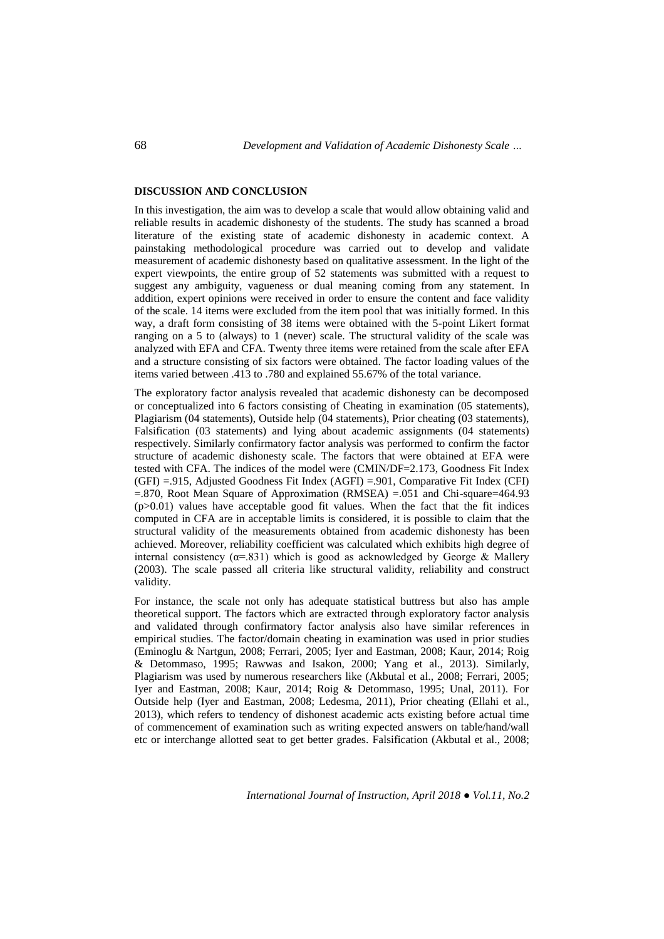### **DISCUSSION AND CONCLUSION**

In this investigation, the aim was to develop a scale that would allow obtaining valid and reliable results in academic dishonesty of the students. The study has scanned a broad literature of the existing state of academic dishonesty in academic context. A painstaking methodological procedure was carried out to develop and validate measurement of academic dishonesty based on qualitative assessment. In the light of the expert viewpoints, the entire group of 52 statements was submitted with a request to suggest any ambiguity, vagueness or dual meaning coming from any statement. In addition, expert opinions were received in order to ensure the content and face validity of the scale. 14 items were excluded from the item pool that was initially formed. In this way, a draft form consisting of 38 items were obtained with the 5-point Likert format ranging on a 5 to (always) to 1 (never) scale. The structural validity of the scale was analyzed with EFA and CFA. Twenty three items were retained from the scale after EFA and a structure consisting of six factors were obtained. The factor loading values of the items varied between .413 to .780 and explained 55.67% of the total variance.

The exploratory factor analysis revealed that academic dishonesty can be decomposed or conceptualized into 6 factors consisting of Cheating in examination (05 statements), Plagiarism (04 statements), Outside help (04 statements), Prior cheating (03 statements), Falsification (03 statements) and lying about academic assignments (04 statements) respectively. Similarly confirmatory factor analysis was performed to confirm the factor structure of academic dishonesty scale. The factors that were obtained at EFA were tested with CFA. The indices of the model were (CMIN/DF=2.173, Goodness Fit Index (GFI) =.915, Adjusted Goodness Fit Index (AGFI) =.901, Comparative Fit Index (CFI) =.870, Root Mean Square of Approximation (RMSEA) =.051 and Chi-square=464.93 (p>0.01) values have acceptable good fit values. When the fact that the fit indices computed in CFA are in acceptable limits is considered, it is possible to claim that the structural validity of the measurements obtained from academic dishonesty has been achieved. Moreover, reliability coefficient was calculated which exhibits high degree of internal consistency ( $\alpha$ =.831) which is good as acknowledged by George & Mallery (2003). The scale passed all criteria like structural validity, reliability and construct validity.

For instance, the scale not only has adequate statistical buttress but also has ample theoretical support. The factors which are extracted through exploratory factor analysis and validated through confirmatory factor analysis also have similar references in empirical studies. The factor/domain cheating in examination was used in prior studies (Eminoglu & Nartgun, 2008; Ferrari, 2005; Iyer and Eastman, 2008; Kaur, 2014; Roig & Detommaso, 1995; Rawwas and Isakon, 2000; Yang et al., 2013). Similarly, Plagiarism was used by numerous researchers like (Akbutal et al., 2008; Ferrari, 2005; Iyer and Eastman, 2008; Kaur, 2014; Roig & Detommaso, 1995; Unal, 2011). For Outside help (Iyer and Eastman, 2008; Ledesma, 2011), Prior cheating (Ellahi et al., 2013), which refers to tendency of dishonest academic acts existing before actual time of commencement of examination such as writing expected answers on table/hand/wall etc or interchange allotted seat to get better grades. Falsification (Akbutal et al., 2008;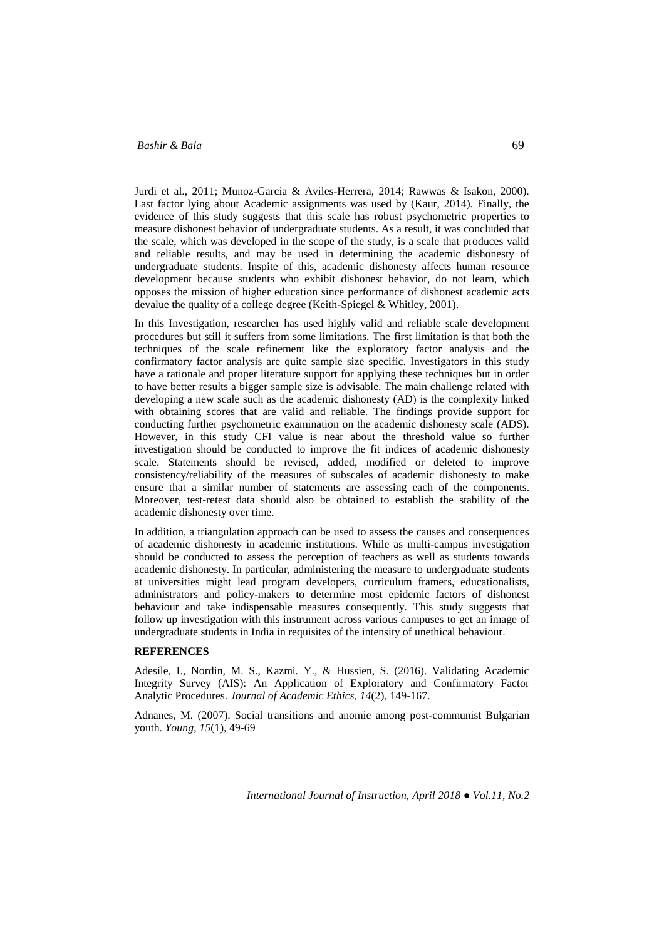Jurdi et al., 2011; Munoz-Garcia & Aviles-Herrera, 2014; Rawwas & Isakon, 2000). Last factor lying about Academic assignments was used by (Kaur, 2014). Finally, the evidence of this study suggests that this scale has robust psychometric properties to measure dishonest behavior of undergraduate students. As a result, it was concluded that the scale, which was developed in the scope of the study, is a scale that produces valid and reliable results, and may be used in determining the academic dishonesty of undergraduate students. Inspite of this, academic dishonesty affects human resource development because students who exhibit dishonest behavior, do not learn, which opposes the mission of higher education since performance of dishonest academic acts devalue the quality of a college degree (Keith-Spiegel & Whitley, 2001).

In this Investigation, researcher has used highly valid and reliable scale development procedures but still it suffers from some limitations. The first limitation is that both the techniques of the scale refinement like the exploratory factor analysis and the confirmatory factor analysis are quite sample size specific. Investigators in this study have a rationale and proper literature support for applying these techniques but in order to have better results a bigger sample size is advisable. The main challenge related with developing a new scale such as the academic dishonesty (AD) is the complexity linked with obtaining scores that are valid and reliable. The findings provide support for conducting further psychometric examination on the academic dishonesty scale (ADS). However, in this study CFI value is near about the threshold value so further investigation should be conducted to improve the fit indices of academic dishonesty scale. Statements should be revised, added, modified or deleted to improve consistency/reliability of the measures of subscales of academic dishonesty to make ensure that a similar number of statements are assessing each of the components. Moreover, test-retest data should also be obtained to establish the stability of the academic dishonesty over time.

In addition, a triangulation approach can be used to assess the causes and consequences of academic dishonesty in academic institutions. While as multi-campus investigation should be conducted to assess the perception of teachers as well as students towards academic dishonesty. In particular, administering the measure to undergraduate students at universities might lead program developers, curriculum framers, educationalists, administrators and policy-makers to determine most epidemic factors of dishonest behaviour and take indispensable measures consequently. This study suggests that follow up investigation with this instrument across various campuses to get an image of undergraduate students in India in requisites of the intensity of unethical behaviour.

### **REFERENCES**

Adesile, I., Nordin, M. S., Kazmi. Y., & Hussien, S. (2016). Validating Academic Integrity Survey (AIS): An Application of Exploratory and Confirmatory Factor Analytic Procedures. *Journal of Academic Ethics, 14*(2), 149-167.

Adnanes, M. (2007). Social transitions and anomie among post-communist Bulgarian youth. *Young*, *15*(1), 49-69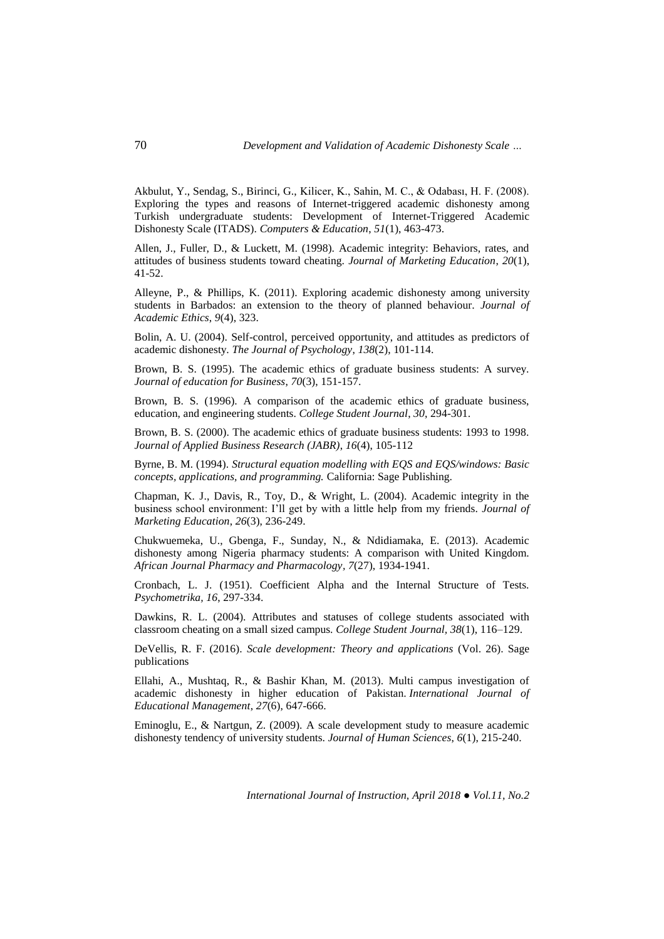Akbulut, Y., Sendag, S., Birinci, G., Kilicer, K., Sahin, M. C., & Odabası, H. F. (2008). Exploring the types and reasons of Internet-triggered academic dishonesty among Turkish undergraduate students: Development of Internet-Triggered Academic Dishonesty Scale (ITADS). *Computers & Education*, *51*(1), 463-473.

Allen, J., Fuller, D., & Luckett, M. (1998). Academic integrity: Behaviors, rates, and attitudes of business students toward cheating. *Journal of Marketing Education*, *20*(1), 41-52.

Alleyne, P., & Phillips, K. (2011). Exploring academic dishonesty among university students in Barbados: an extension to the theory of planned behaviour. *Journal of Academic Ethics*, *9*(4), 323.

Bolin, A. U. (2004). Self-control, perceived opportunity, and attitudes as predictors of academic dishonesty. *The Journal of Psychology*, *138*(2), 101-114.

Brown, B. S. (1995). The academic ethics of graduate business students: A survey. *Journal of education for Business*, *70*(3), 151-157.

Brown, B. S. (1996). A comparison of the academic ethics of graduate business, education, and engineering students. *College Student Journal*, *30*, 294-301.

Brown, B. S. (2000). The academic ethics of graduate business students: 1993 to 1998. *Journal of Applied Business Research (JABR)*, *16*(4), 105-112

Byrne, B. M. (1994). *Structural equation modelling with EQS and EQS/windows: Basic concepts, applications, and programming.* California: Sage Publishing.

Chapman, K. J., Davis, R., Toy, D., & Wright, L. (2004). Academic integrity in the business school environment: I'll get by with a little help from my friends. *Journal of Marketing Education*, *26*(3), 236-249.

Chukwuemeka, U., Gbenga, F., Sunday, N., & Ndidiamaka, E. (2013). Academic dishonesty among Nigeria pharmacy students: A comparison with United Kingdom. *African Journal Pharmacy and Pharmacology, 7*(27), 1934-1941.

Cronbach, L. J. (1951). Coefficient Alpha and the Internal Structure of Tests. *Psychometrika, 16*, 297-334.

Dawkins, R. L. (2004). Attributes and statuses of college students associated with classroom cheating on a small sized campus. *College Student Journal, 38*(1), 116–129.

DeVellis, R. F. (2016). *Scale development: Theory and applications* (Vol. 26). Sage publications

Ellahi, A., Mushtaq, R., & Bashir Khan, M. (2013). Multi campus investigation of academic dishonesty in higher education of Pakistan. *International Journal of Educational Management*, *27*(6), 647-666.

Eminoglu, E., & Nartgun, Z. (2009). A scale development study to measure academic dishonesty tendency of university students. *Journal of Human Sciences*, *6*(1), 215-240.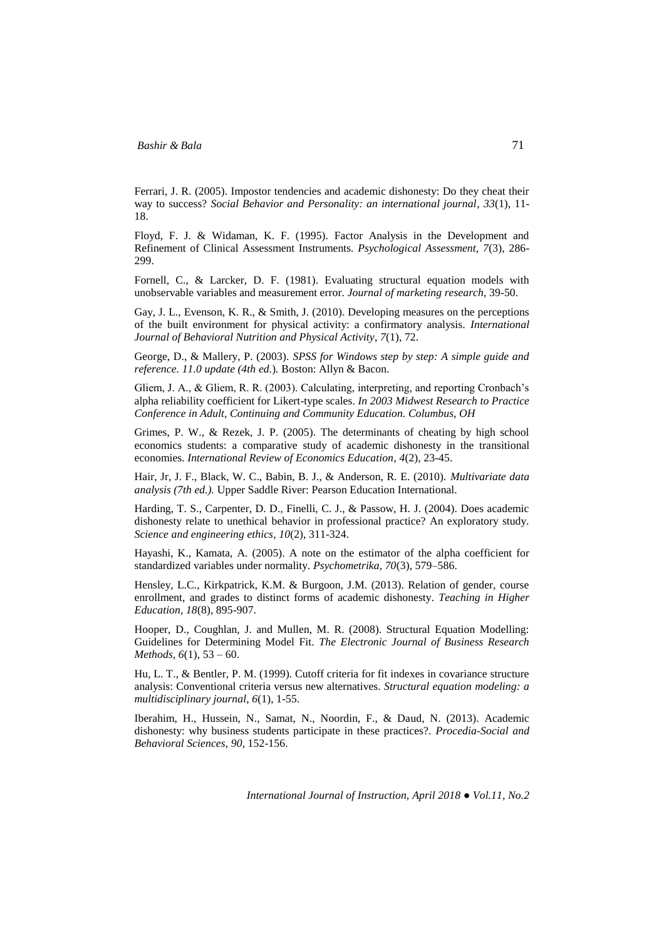Ferrari, J. R. (2005). Impostor tendencies and academic dishonesty: Do they cheat their way to success? *Social Behavior and Personality: an international journal*, *33*(1), 11- 18.

Floyd, F. J. & Widaman, K. F. (1995). Factor Analysis in the Development and Refinement of Clinical Assessment Instruments. *Psychological Assessment, 7*(3), 286- 299.

Fornell, C., & Larcker, D. F. (1981). Evaluating structural equation models with unobservable variables and measurement error. *Journal of marketing research*, 39-50.

Gay, J. L., Evenson, K. R., & Smith, J. (2010). Developing measures on the perceptions of the built environment for physical activity: a confirmatory analysis. *International Journal of Behavioral Nutrition and Physical Activity*, *7*(1), 72.

George, D., & Mallery, P. (2003). *SPSS for Windows step by step: A simple guide and reference. 11.0 update (4th ed.*)*.* Boston: Allyn & Bacon.

Gliem, J. A., & Gliem, R. R. (2003). Calculating, interpreting, and reporting Cronbach's alpha reliability coefficient for Likert-type scales. *In 2003 Midwest Research to Practice Conference in Adult, Continuing and Community Education. Columbus, OH*

Grimes, P. W., & Rezek, J. P. (2005). The determinants of cheating by high school economics students: a comparative study of academic dishonesty in the transitional economies. *International Review of Economics Education*, *4*(2), 23-45.

Hair, Jr, J. F., Black, W. C., Babin, B. J., & Anderson, R. E. (2010). *Multivariate data analysis (7th ed.).* Upper Saddle River: Pearson Education International.

Harding, T. S., Carpenter, D. D., Finelli, C. J., & Passow, H. J. (2004). Does academic dishonesty relate to unethical behavior in professional practice? An exploratory study. *Science and engineering ethics*, *10*(2), 311-324.

Hayashi, K., Kamata, A. (2005). A note on the estimator of the alpha coefficient for standardized variables under normality. *Psychometrika, 70*(3), 579–586.

Hensley, L.C., Kirkpatrick, K.M. & Burgoon, J.M. (2013). Relation of gender, course enrollment, and grades to distinct forms of academic dishonesty. *Teaching in Higher Education, 18*(8), 895-907.

Hooper, D., Coughlan, J. and Mullen, M. R. (2008). Structural Equation Modelling: Guidelines for Determining Model Fit. *The Electronic Journal of Business Research Methods*, *6*(1), 53 – 60.

Hu, L. T., & Bentler, P. M. (1999). Cutoff criteria for fit indexes in covariance structure analysis: Conventional criteria versus new alternatives. *Structural equation modeling: a multidisciplinary journal*, *6*(1), 1-55.

Iberahim, H., Hussein, N., Samat, N., Noordin, F., & Daud, N. (2013). Academic dishonesty: why business students participate in these practices?. *Procedia-Social and Behavioral Sciences*, *90*, 152-156.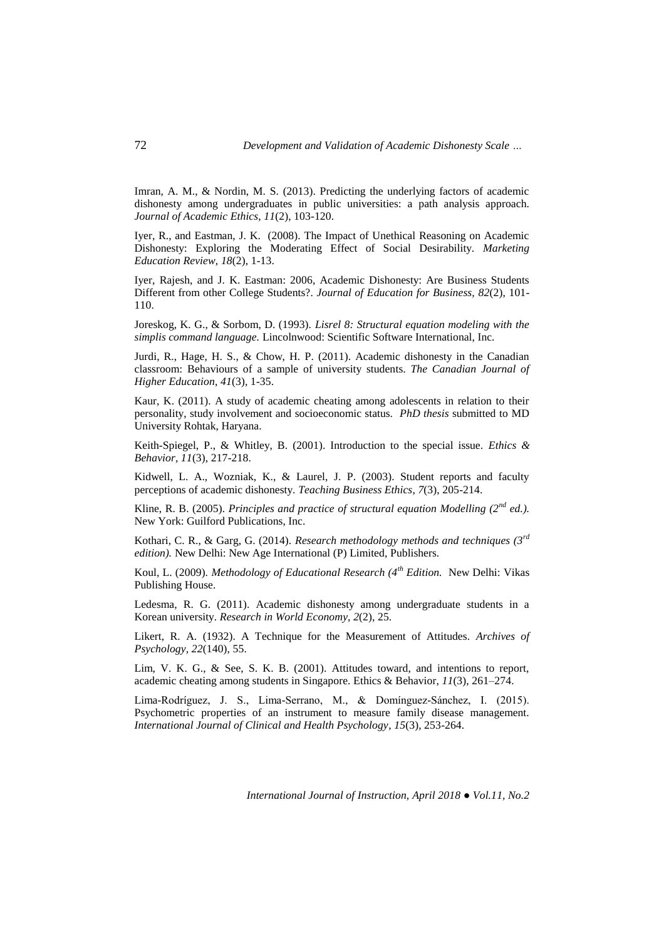Imran, A. M., & Nordin, M. S. (2013). Predicting the underlying factors of academic dishonesty among undergraduates in public universities: a path analysis approach. *Journal of Academic Ethics*, *11*(2), 103-120.

Iyer, R., and Eastman, J. K. (2008). The Impact of Unethical Reasoning on Academic Dishonesty: Exploring the Moderating Effect of Social Desirability. *Marketing Education Review, 18*(2), 1-13.

Iyer, Rajesh, and J. K. Eastman: 2006, Academic Dishonesty: Are Business Students Different from other College Students?. *Journal of Education for Business, 82*(2), 101- 110.

Joreskog, K. G., & Sorbom, D. (1993). *Lisrel 8: Structural equation modeling with the simplis command language.* Lincolnwood: Scientific Software International, Inc.

Jurdi, R., Hage, H. S., & Chow, H. P. (2011). Academic dishonesty in the Canadian classroom: Behaviours of a sample of university students. *The Canadian Journal of Higher Education*, *41*(3), 1-35.

Kaur, K. (2011). A study of academic cheating among adolescents in relation to their personality, study involvement and socioeconomic status. *PhD thesis* submitted to MD University Rohtak, Haryana.

Keith-Spiegel, P., & Whitley, B. (2001). Introduction to the special issue. *Ethics & Behavior, 11*(3), 217-218.

Kidwell, L. A., Wozniak, K., & Laurel, J. P. (2003). Student reports and faculty perceptions of academic dishonesty. *Teaching Business Ethics*, *7*(3), 205-214.

Kline, R. B. (2005). *Principles and practice of structural equation Modelling (2<sup>nd</sup> ed.).* New York: Guilford Publications, Inc.

Kothari, C. R., & Garg, G. (2014). *Research methodology methods and techniques (3rd edition).* New Delhi: New Age International (P) Limited, Publishers.

Koul, L. (2009). *Methodology of Educational Research (4th Edition.* New Delhi: Vikas Publishing House.

Ledesma, R. G. (2011). Academic dishonesty among undergraduate students in a Korean university. *Research in World Economy*, *2*(2), 25.

Likert, R. A. (1932). A Technique for the Measurement of Attitudes. *Archives of Psychology, 22*(140), 55.

Lim, V. K. G., & See, S. K. B. (2001). Attitudes toward, and intentions to report, academic cheating among students in Singapore. Ethics & Behavior, *11*(3), 261–274.

Lima-Rodríguez, J. S., Lima-Serrano, M., & Domínguez-Sánchez, I. (2015). Psychometric properties of an instrument to measure family disease management. *International Journal of Clinical and Health Psychology*, *15*(3), 253-264.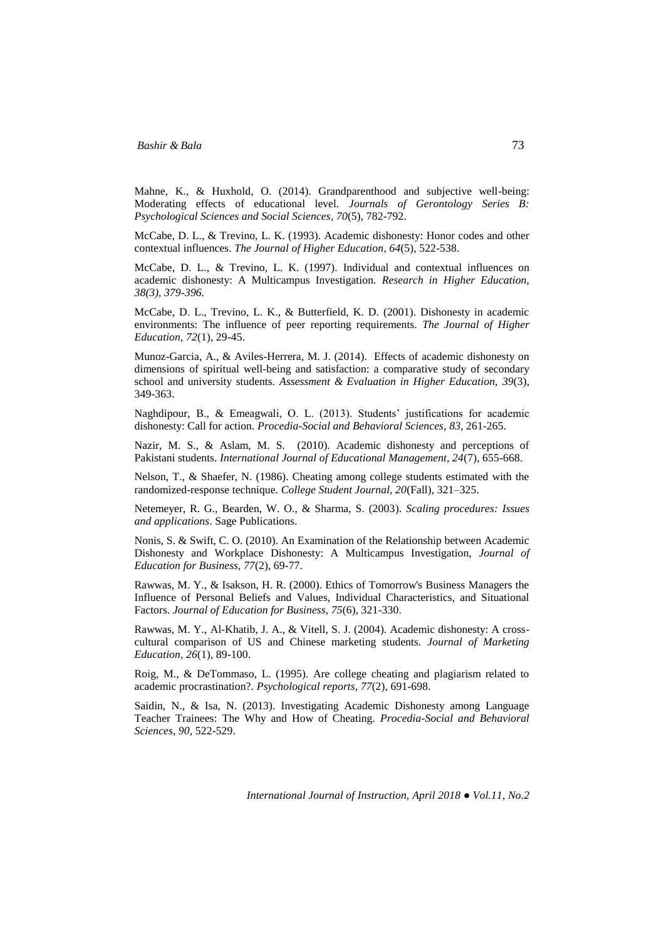Mahne, K., & Huxhold, O. (2014). Grandparenthood and subjective well-being: Moderating effects of educational level. *Journals of Gerontology Series B: Psychological Sciences and Social Sciences*, *70*(5), 782-792.

McCabe, D. L., & Trevino, L. K. (1993). Academic dishonesty: Honor codes and other contextual influences. *The Journal of Higher Education*, *64*(5), 522-538.

McCabe, D. L., & Trevino, L. K. (1997). Individual and contextual influences on academic dishonesty: A Multicampus Investigation. *Research in Higher Education, 38(3), 379-396.*

McCabe, D. L., Trevino, L. K., & Butterfield, K. D. (2001). Dishonesty in academic environments: The influence of peer reporting requirements. *The Journal of Higher Education*, *72*(1), 29-45.

Munoz-Garcia, A., & Aviles-Herrera, M. J. (2014). Effects of academic dishonesty on dimensions of spiritual well-being and satisfaction: a comparative study of secondary school and university students. *Assessment & Evaluation in Higher Education, 39*(3), 349-363.

Naghdipour, B., & Emeagwali, O. L. (2013). Students' justifications for academic dishonesty: Call for action. *Procedia-Social and Behavioral Sciences*, *83*, 261-265.

Nazir, M. S., & Aslam, M. S. (2010). Academic dishonesty and perceptions of Pakistani students. *International Journal of Educational Management, 24*(7), 655-668.

Nelson, T., & Shaefer, N. (1986). Cheating among college students estimated with the randomized-response technique. *College Student Journal, 20*(Fall), 321–325.

Netemeyer, R. G., Bearden, W. O., & Sharma, S. (2003). *Scaling procedures: Issues and applications*. Sage Publications.

Nonis, S. & Swift, C. O. (2010). An Examination of the Relationship between Academic Dishonesty and Workplace Dishonesty: A Multicampus Investigation, *Journal of Education for Business, 77*(2), 69-77.

Rawwas, M. Y., & Isakson, H. R. (2000). Ethics of Tomorrow's Business Managers the Influence of Personal Beliefs and Values, Individual Characteristics, and Situational Factors. *Journal of Education for Business*, *75*(6), 321-330.

Rawwas, M. Y., Al-Khatib, J. A., & Vitell, S. J. (2004). Academic dishonesty: A crosscultural comparison of US and Chinese marketing students. *Journal of Marketing Education*, *26*(1), 89-100.

Roig, M., & DeTommaso, L. (1995). Are college cheating and plagiarism related to academic procrastination?. *Psychological reports*, *77*(2), 691-698.

Saidin, N., & Isa, N. (2013). Investigating Academic Dishonesty among Language Teacher Trainees: The Why and How of Cheating. *Procedia-Social and Behavioral Sciences*, *90,* 522-529.